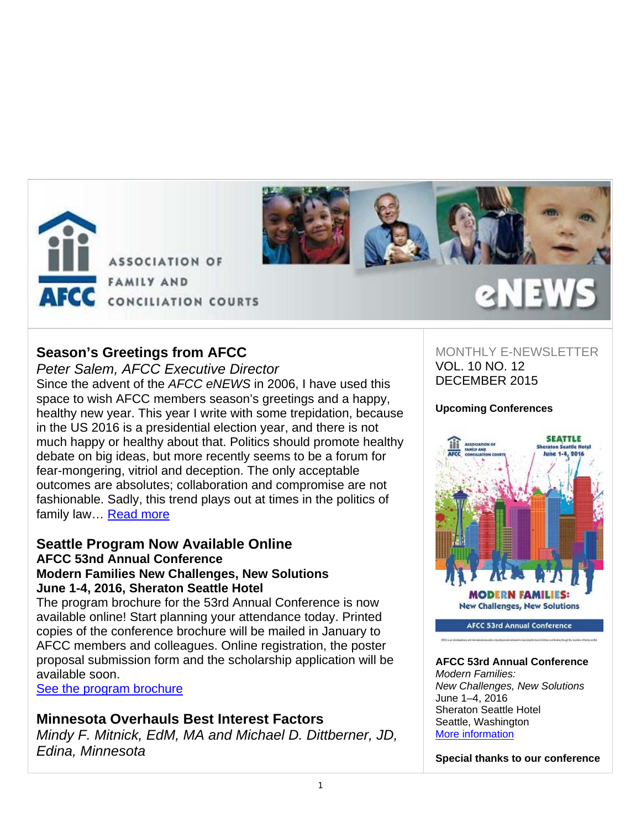



# **Season's Greetings from AFCC**

*Peter Salem, AFCC Executive Director*  Since the advent of the *AFCC eNEWS* in 2006, I have used this space to wish AFCC members season's greetings and a happy, healthy new year. This year I write with some trepidation, because in the US 2016 is a presidential election year, and there is not much happy or healthy about that. Politics should promote healthy debate on big ideas, but more recently seems to be a forum for fear-mongering, vitriol and deception. The only acceptable outcomes are absolutes; collaboration and compromise are not fashionable. Sadly, this trend plays out at times in the politics of family law… Read more

# **Seattle Program Now Available Online AFCC 53nd Annual Conference Modern Families New Challenges, New Solutions June 1-4, 2016, Sheraton Seattle Hotel**

The program brochure for the 53rd Annual Conference is now available online! Start planning your attendance today. Printed copies of the conference brochure will be mailed in January to AFCC members and colleagues. Online registration, the poster proposal submission form and the scholarship application will be available soon.

See the program brochure

# **Minnesota Overhauls Best Interest Factors**

*Mindy F. Mitnick, EdM, MA and Michael D. Dittberner, JD, Edina, Minnesota*

# MONTHLY F-NEWSLETTER VOL. 10 NO. 12 DECEMBER 2015

**en EWS** 

# **Upcoming Conferences**



**AFCC 53rd Annual Conference** 

# **AFCC 53rd Annual Conference**

*Modern Families: New Challenges, New Solutions* June 1–4, 2016 Sheraton Seattle Hotel Seattle, Washington More information

**Special thanks to our conference**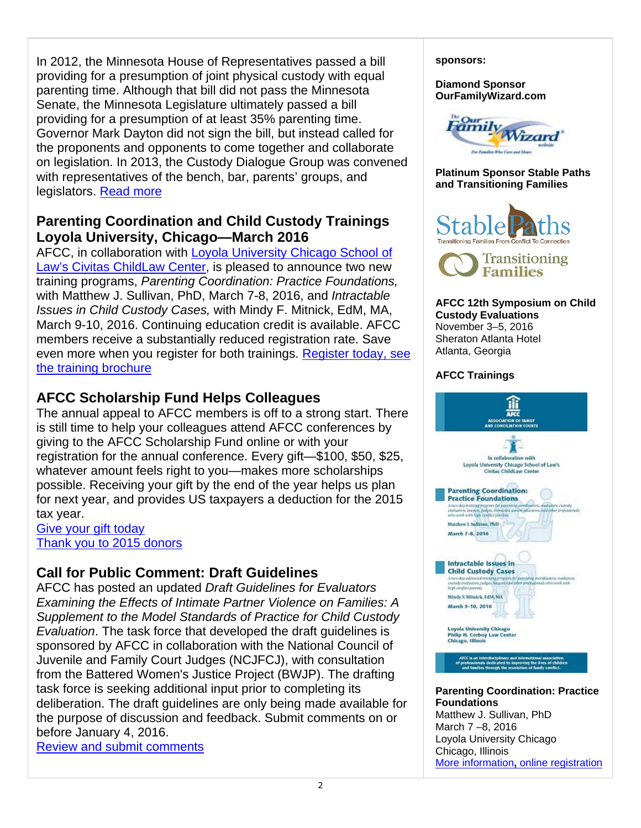In 2012, the Minnesota House of Representatives passed a bill providing for a presumption of joint physical custody with equal parenting time. Although that bill did not pass the Minnesota Senate, the Minnesota Legislature ultimately passed a bill providing for a presumption of at least 35% parenting time. Governor Mark Dayton did not sign the bill, but instead called for the proponents and opponents to come together and collaborate on legislation. In 2013, the Custody Dialogue Group was convened with representatives of the bench, bar, parents' groups, and legislators. Read more

# **Parenting Coordination and Child Custody Trainings Loyola University, Chicago—March 2016**

AFCC, in collaboration with Loyola University Chicago School of Law's Civitas ChildLaw Center, is pleased to announce two new training programs, *Parenting Coordination: Practice Foundations,*  with Matthew J. Sullivan, PhD, March 7-8, 2016, and *Intractable Issues in Child Custody Cases,* with Mindy F. Mitnick, EdM, MA, March 9-10, 2016. Continuing education credit is available. AFCC members receive a substantially reduced registration rate. Save even more when you register for both trainings. Register today, see the training brochure

# **AFCC Scholarship Fund Helps Colleagues**

The annual appeal to AFCC members is off to a strong start. There is still time to help your colleagues attend AFCC conferences by giving to the AFCC Scholarship Fund online or with your registration for the annual conference. Every gift—\$100, \$50, \$25, whatever amount feels right to you—makes more scholarships possible. Receiving your gift by the end of the year helps us plan for next year, and provides US taxpayers a deduction for the 2015 tax year.

# Give your gift today Thank you to 2015 donors

# **Call for Public Comment: Draft Guidelines**

AFCC has posted an updated *Draft Guidelines for Evaluators Examining the Effects of Intimate Partner Violence on Families: A Supplement to the Model Standards of Practice for Child Custody Evaluation*. The task force that developed the draft guidelines is sponsored by AFCC in collaboration with the National Council of Juvenile and Family Court Judges (NCJFCJ), with consultation from the Battered Women's Justice Project (BWJP). The drafting task force is seeking additional input prior to completing its deliberation. The draft guidelines are only being made available for the purpose of discussion and feedback. Submit comments on or before January 4, 2016.

Review and submit comments

**sponsors:** 

**Diamond Sponsor OurFamilyWizard.com** 



**Platinum Sponsor Stable Paths and Transitioning Families** 





#### **AFCC 12th Symposium on Child Custody Evaluations**  November 3–5, 2016 Sheraton Atlanta Hotel Atlanta, Georgia

# **AFCC Trainings**



**Parenting Coordination: Practice Foundations**  Matthew J. Sullivan, PhD March 7 –8, 2016 Loyola University Chicago Chicago, Illinois More information**,** online registration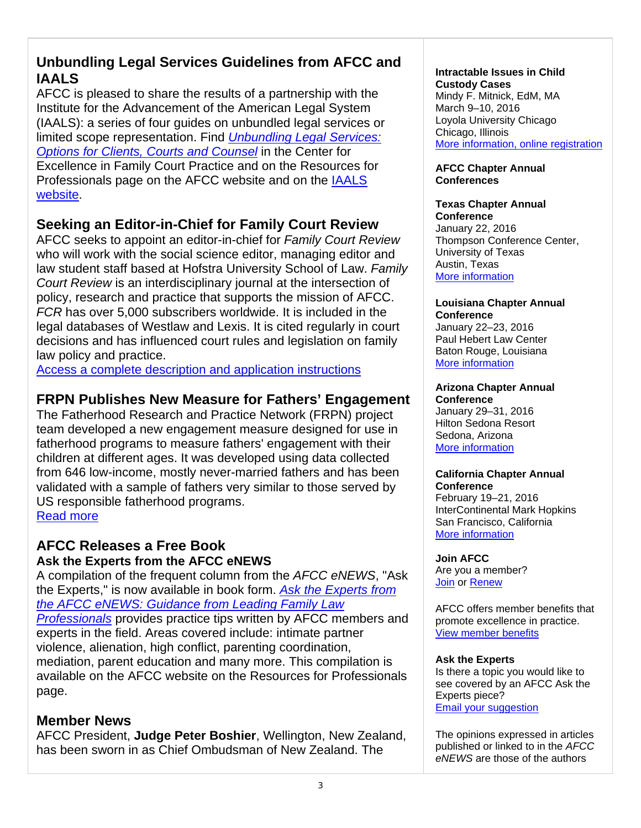# **Unbundling Legal Services Guidelines from AFCC and IAALS**

AFCC is pleased to share the results of a partnership with the Institute for the Advancement of the American Legal System (IAALS): a series of four guides on unbundled legal services or limited scope representation. Find *Unbundling Legal Services: Options for Clients, Courts and Counsel* in the Center for Excellence in Family Court Practice and on the Resources for Professionals page on the AFCC website and on the IAALS website.

# **Seeking an Editor-in-Chief for Family Court Review**

AFCC seeks to appoint an editor-in-chief for *Family Court Review* who will work with the social science editor, managing editor and law student staff based at Hofstra University School of Law. *Family Court Review* is an interdisciplinary journal at the intersection of policy, research and practice that supports the mission of AFCC. *FCR* has over 5,000 subscribers worldwide. It is included in the legal databases of Westlaw and Lexis. It is cited regularly in court decisions and has influenced court rules and legislation on family law policy and practice.

Access a complete description and application instructions

# **FRPN Publishes New Measure for Fathers' Engagement**

The Fatherhood Research and Practice Network (FRPN) project team developed a new engagement measure designed for use in fatherhood programs to measure fathers' engagement with their children at different ages. It was developed using data collected from 646 low-income, mostly never-married fathers and has been validated with a sample of fathers very similar to those served by US responsible fatherhood programs. Read more

# **AFCC Releases a Free Book Ask the Experts from the AFCC eNEWS**

A compilation of the frequent column from the *AFCC eNEWS*, "Ask the Experts," is now available in book form. *Ask the Experts from the AFCC eNEWS: Guidance from Leading Family Law Professionals* provides practice tips written by AFCC members and experts in the field. Areas covered include: intimate partner violence, alienation, high conflict, parenting coordination, mediation, parent education and many more. This compilation is available on the AFCC website on the Resources for Professionals page.

# **Member News**

AFCC President, **Judge Peter Boshier**, Wellington, New Zealand, has been sworn in as Chief Ombudsman of New Zealand. The

#### **Intractable Issues in Child Custody Cases**

Mindy F. Mitnick, EdM, MA March 9–10, 2016 Loyola University Chicago Chicago, Illinois More information, online registration

## **AFCC Chapter Annual Conferences**

#### **Texas Chapter Annual Conference**

January 22, 2016 Thompson Conference Center, University of Texas Austin, Texas More information

## **Louisiana Chapter Annual Conference**

January 22–23, 2016 Paul Hebert Law Center Baton Rouge, Louisiana More information

#### **Arizona Chapter Annual Conference**

January 29–31, 2016 Hilton Sedona Resort Sedona, Arizona More information

#### **California Chapter Annual Conference**

February 19–21, 2016 InterContinental Mark Hopkins San Francisco, California More information

# **Join AFCC**

Are you a member? Join or Renew

AFCC offers member benefits that promote excellence in practice. View member benefits

## **Ask the Experts**

Is there a topic you would like to see covered by an AFCC Ask the Experts piece? Email your suggestion

The opinions expressed in articles published or linked to in the *AFCC eNEWS* are those of the authors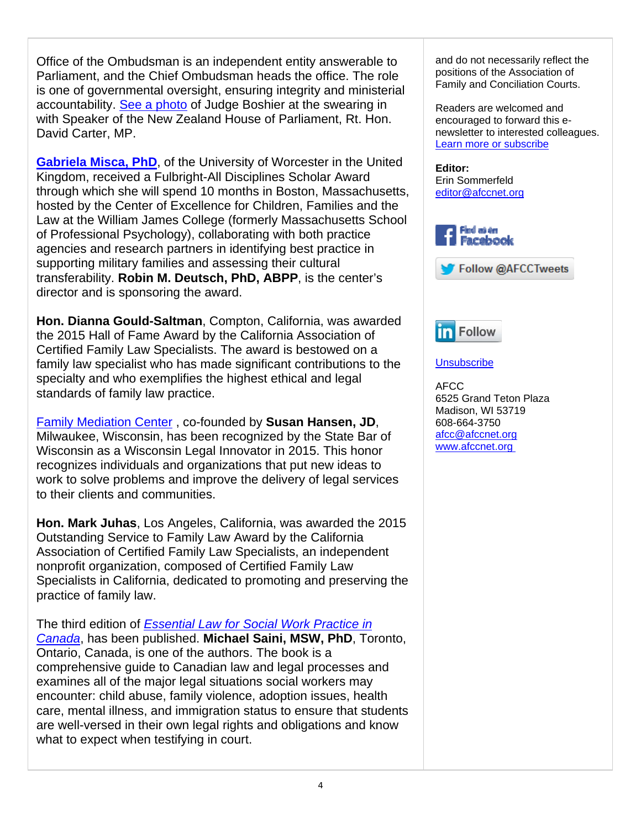Office of the Ombudsman is an independent entity answerable to Parliament, and the Chief Ombudsman heads the office. The role is one of governmental oversight, ensuring integrity and ministerial accountability. See a photo of Judge Boshier at the swearing in with Speaker of the New Zealand House of Parliament, Rt. Hon. David Carter, MP.

**Gabriela Misca, PhD**, of the University of Worcester in the United Kingdom, received a Fulbright-All Disciplines Scholar Award through which she will spend 10 months in Boston, Massachusetts, hosted by the Center of Excellence for Children, Families and the Law at the William James College (formerly Massachusetts School of Professional Psychology), collaborating with both practice agencies and research partners in identifying best practice in supporting military families and assessing their cultural transferability. **Robin M. Deutsch, PhD, ABPP**, is the center's director and is sponsoring the award.

**Hon. Dianna Gould-Saltman**, Compton, California, was awarded the 2015 Hall of Fame Award by the California Association of Certified Family Law Specialists. The award is bestowed on a family law specialist who has made significant contributions to the specialty and who exemplifies the highest ethical and legal standards of family law practice.

Family Mediation Center , co-founded by **Susan Hansen, JD**, Milwaukee, Wisconsin, has been recognized by the State Bar of Wisconsin as a Wisconsin Legal Innovator in 2015. This honor recognizes individuals and organizations that put new ideas to work to solve problems and improve the delivery of legal services to their clients and communities.

**Hon. Mark Juhas**, Los Angeles, California, was awarded the 2015 Outstanding Service to Family Law Award by the California Association of Certified Family Law Specialists, an independent nonprofit organization, composed of Certified Family Law Specialists in California, dedicated to promoting and preserving the practice of family law.

The third edition of *Essential Law for Social Work Practice in Canada*, has been published. **Michael Saini, MSW, PhD**, Toronto, Ontario, Canada, is one of the authors. The book is a comprehensive guide to Canadian law and legal processes and examines all of the major legal situations social workers may encounter: child abuse, family violence, adoption issues, health care, mental illness, and immigration status to ensure that students are well-versed in their own legal rights and obligations and know what to expect when testifying in court.

and do not necessarily reflect the positions of the Association of Family and Conciliation Courts.

Readers are welcomed and encouraged to forward this enewsletter to interested colleagues. Learn more or subscribe

**Editor:**  Erin Sommerfeld editor@afccnet.org







## **Unsubscribe**

AFCC 6525 Grand Teton Plaza Madison, WI 53719 608-664-3750 afcc@afccnet.org www.afccnet.org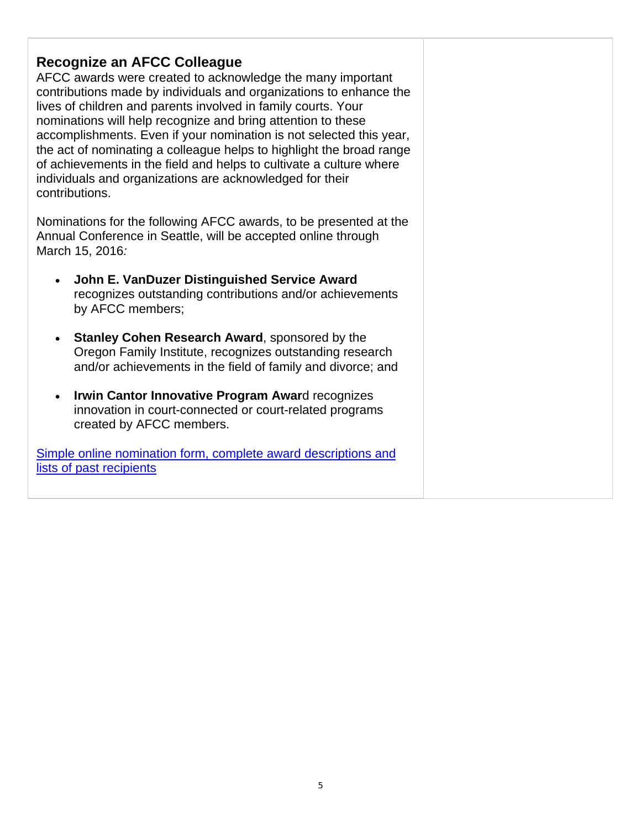# **Recognize an AFCC Colleague**

AFCC awards were created to acknowledge the many important contributions made by individuals and organizations to enhance the lives of children and parents involved in family courts. Your nominations will help recognize and bring attention to these accomplishments. Even if your nomination is not selected this year, the act of nominating a colleague helps to highlight the broad range of achievements in the field and helps to cultivate a culture where individuals and organizations are acknowledged for their contributions.

Nominations for the following AFCC awards, to be presented at the Annual Conference in Seattle, will be accepted online through March 15, 2016*:*

- **John E. VanDuzer Distinguished Service Award** recognizes outstanding contributions and/or achievements by AFCC members;
- **Stanley Cohen Research Award**, sponsored by the Oregon Family Institute, recognizes outstanding research and/or achievements in the field of family and divorce; and
- **Irwin Cantor Innovative Program Awar**d recognizes innovation in court-connected or court-related programs created by AFCC members.

Simple online nomination form, complete award descriptions and lists of past recipients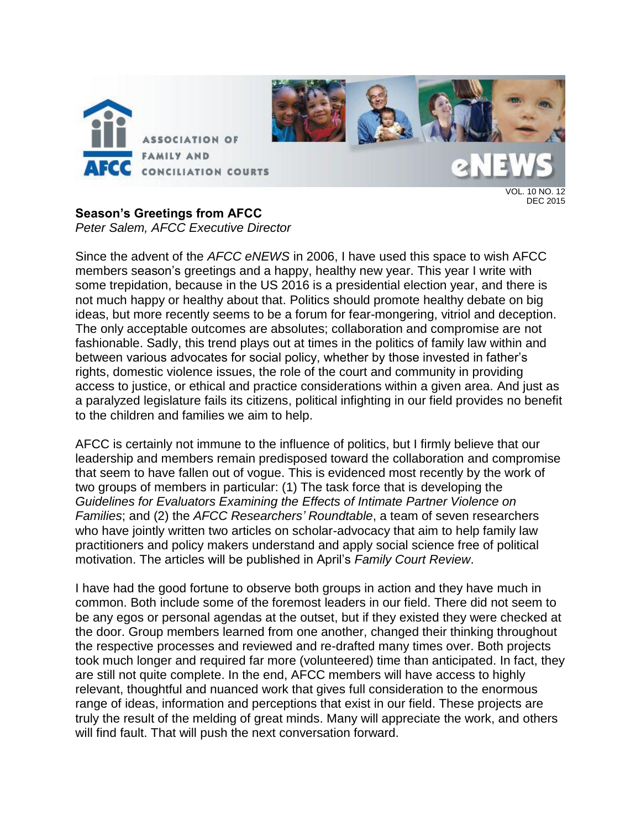

# **Season's Greetings from AFCC**

*Peter Salem, AFCC Executive Director*

Since the advent of the *AFCC eNEWS* in 2006, I have used this space to wish AFCC members season's greetings and a happy, healthy new year. This year I write with some trepidation, because in the US 2016 is a presidential election year, and there is not much happy or healthy about that. Politics should promote healthy debate on big ideas, but more recently seems to be a forum for fear-mongering, vitriol and deception. The only acceptable outcomes are absolutes; collaboration and compromise are not fashionable. Sadly, this trend plays out at times in the politics of family law within and between various advocates for social policy, whether by those invested in father's rights, domestic violence issues, the role of the court and community in providing access to justice, or ethical and practice considerations within a given area. And just as a paralyzed legislature fails its citizens, political infighting in our field provides no benefit to the children and families we aim to help.

AFCC is certainly not immune to the influence of politics, but I firmly believe that our leadership and members remain predisposed toward the collaboration and compromise that seem to have fallen out of vogue. This is evidenced most recently by the work of two groups of members in particular: (1) The task force that is developing the *Guidelines for Evaluators Examining the Effects of Intimate Partner Violence on Families*; and (2) the *AFCC Researchers' Roundtable*, a team of seven researchers who have jointly written two articles on scholar-advocacy that aim to help family law practitioners and policy makers understand and apply social science free of political motivation. The articles will be published in April's *Family Court Review*.

I have had the good fortune to observe both groups in action and they have much in common. Both include some of the foremost leaders in our field. There did not seem to be any egos or personal agendas at the outset, but if they existed they were checked at the door. Group members learned from one another, changed their thinking throughout the respective processes and reviewed and re-drafted many times over. Both projects took much longer and required far more (volunteered) time than anticipated. In fact, they are still not quite complete. In the end, AFCC members will have access to highly relevant, thoughtful and nuanced work that gives full consideration to the enormous range of ideas, information and perceptions that exist in our field. These projects are truly the result of the melding of great minds. Many will appreciate the work, and others will find fault. That will push the next conversation forward.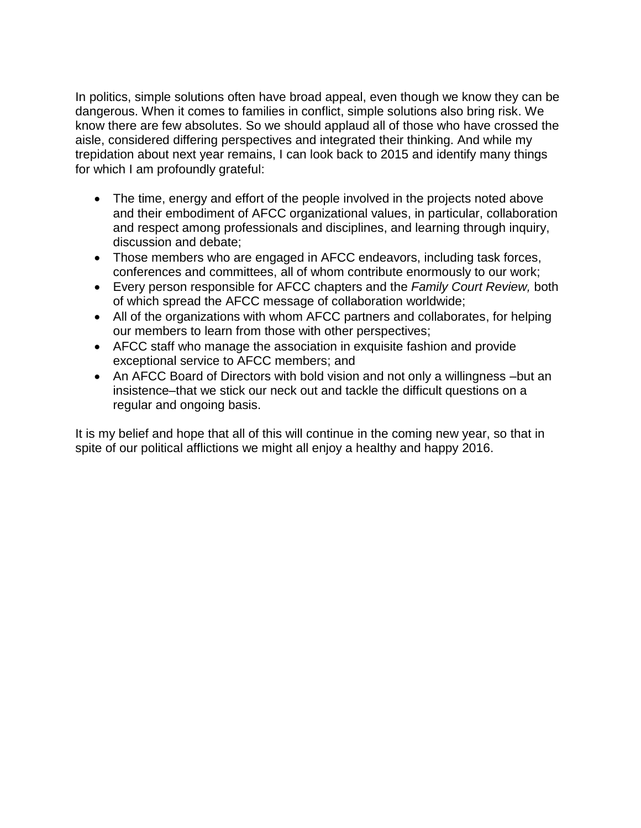In politics, simple solutions often have broad appeal, even though we know they can be dangerous. When it comes to families in conflict, simple solutions also bring risk. We know there are few absolutes. So we should applaud all of those who have crossed the aisle, considered differing perspectives and integrated their thinking. And while my trepidation about next year remains, I can look back to 2015 and identify many things for which I am profoundly grateful:

- The time, energy and effort of the people involved in the projects noted above and their embodiment of AFCC organizational values, in particular, collaboration and respect among professionals and disciplines, and learning through inquiry, discussion and debate;
- Those members who are engaged in AFCC endeavors, including task forces, conferences and committees, all of whom contribute enormously to our work;
- Every person responsible for AFCC chapters and the *Family Court Review,* both of which spread the AFCC message of collaboration worldwide;
- All of the organizations with whom AFCC partners and collaborates, for helping our members to learn from those with other perspectives;
- AFCC staff who manage the association in exquisite fashion and provide exceptional service to AFCC members; and
- An AFCC Board of Directors with bold vision and not only a willingness –but an insistence–that we stick our neck out and tackle the difficult questions on a regular and ongoing basis.

It is my belief and hope that all of this will continue in the coming new year, so that in spite of our political afflictions we might all enjoy a healthy and happy 2016.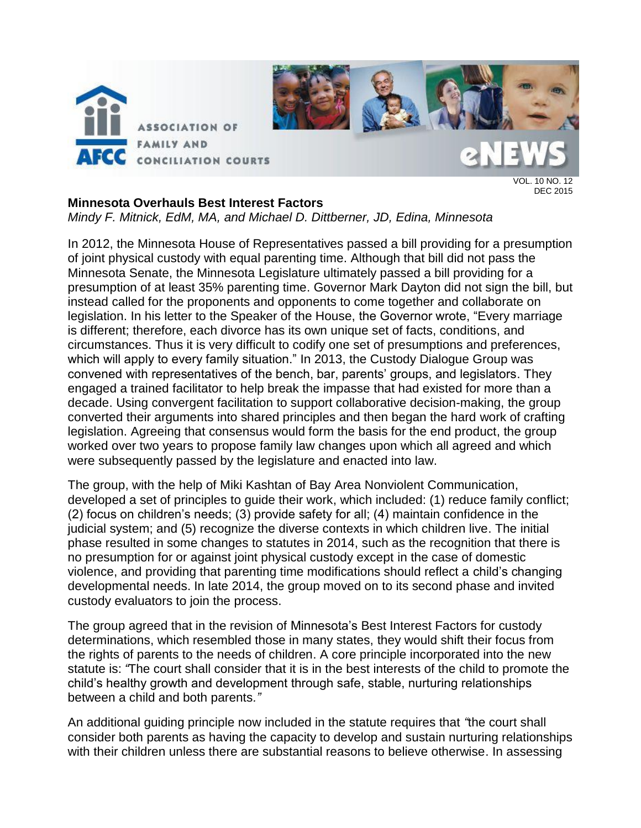

VOL. 10 NO. 12 DEC 2015

## **Minnesota Overhauls Best Interest Factors**

*Mindy F. Mitnick, EdM, MA, and Michael D. Dittberner, JD, Edina, Minnesota*

In 2012, the Minnesota House of Representatives passed a bill providing for a presumption of joint physical custody with equal parenting time. Although that bill did not pass the Minnesota Senate, the Minnesota Legislature ultimately passed a bill providing for a presumption of at least 35% parenting time. Governor Mark Dayton did not sign the bill, but instead called for the proponents and opponents to come together and collaborate on legislation. In his letter to the Speaker of the House, the Governor wrote, "Every marriage is different; therefore, each divorce has its own unique set of facts, conditions, and circumstances. Thus it is very difficult to codify one set of presumptions and preferences, which will apply to every family situation." In 2013, the Custody Dialogue Group was convened with representatives of the bench, bar, parents' groups, and legislators. They engaged a trained facilitator to help break the impasse that had existed for more than a decade. Using convergent facilitation to support collaborative decision-making, the group converted their arguments into shared principles and then began the hard work of crafting legislation. Agreeing that consensus would form the basis for the end product, the group worked over two years to propose family law changes upon which all agreed and which were subsequently passed by the legislature and enacted into law.

The group, with the help of Miki Kashtan of Bay Area Nonviolent Communication, developed a set of principles to guide their work, which included: (1) reduce family conflict; (2) focus on children's needs; (3) provide safety for all; (4) maintain confidence in the judicial system; and (5) recognize the diverse contexts in which children live. The initial phase resulted in some changes to statutes in 2014, such as the recognition that there is no presumption for or against joint physical custody except in the case of domestic violence, and providing that parenting time modifications should reflect a child's changing developmental needs. In late 2014, the group moved on to its second phase and invited custody evaluators to join the process.

The group agreed that in the revision of Minnesota's Best Interest Factors for custody determinations, which resembled those in many states, they would shift their focus from the rights of parents to the needs of children. A core principle incorporated into the new statute is: *"*The court shall consider that it is in the best interests of the child to promote the child's healthy growth and development through safe, stable, nurturing relationships between a child and both parents*."*

An additional guiding principle now included in the statute requires that *"*the court shall consider both parents as having the capacity to develop and sustain nurturing relationships with their children unless there are substantial reasons to believe otherwise. In assessing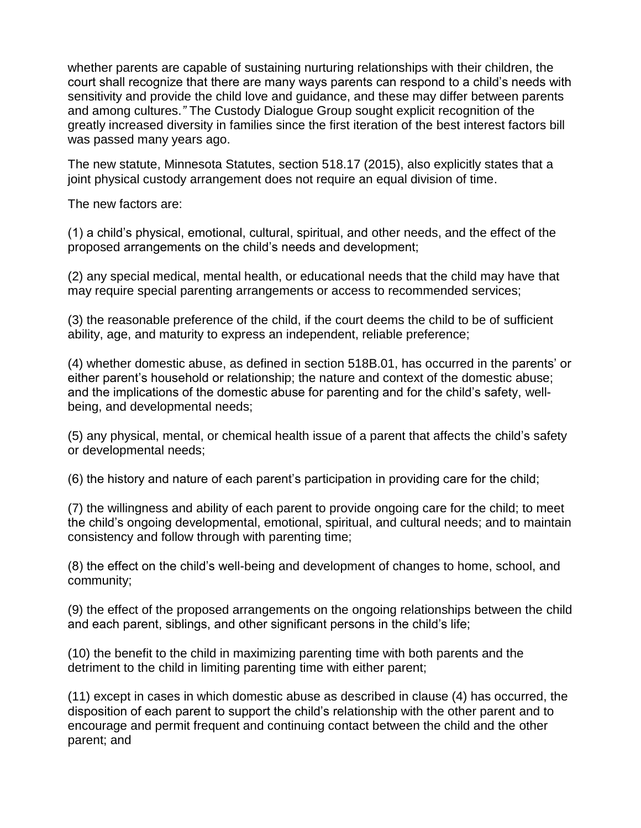whether parents are capable of sustaining nurturing relationships with their children, the court shall recognize that there are many ways parents can respond to a child's needs with sensitivity and provide the child love and guidance, and these may differ between parents and among cultures.*"* The Custody Dialogue Group sought explicit recognition of the greatly increased diversity in families since the first iteration of the best interest factors bill was passed many years ago.

The new statute, Minnesota Statutes, section 518.17 (2015), also explicitly states that a joint physical custody arrangement does not require an equal division of time.

The new factors are:

(1) a child's physical, emotional, cultural, spiritual, and other needs, and the effect of the proposed arrangements on the child's needs and development;

(2) any special medical, mental health, or educational needs that the child may have that may require special parenting arrangements or access to recommended services;

(3) the reasonable preference of the child, if the court deems the child to be of sufficient ability, age, and maturity to express an independent, reliable preference;

(4) whether domestic abuse, as defined in section 518B.01, has occurred in the parents' or either parent's household or relationship; the nature and context of the domestic abuse; and the implications of the domestic abuse for parenting and for the child's safety, wellbeing, and developmental needs;

(5) any physical, mental, or chemical health issue of a parent that affects the child's safety or developmental needs;

(6) the history and nature of each parent's participation in providing care for the child;

(7) the willingness and ability of each parent to provide ongoing care for the child; to meet the child's ongoing developmental, emotional, spiritual, and cultural needs; and to maintain consistency and follow through with parenting time;

(8) the effect on the child's well-being and development of changes to home, school, and community;

(9) the effect of the proposed arrangements on the ongoing relationships between the child and each parent, siblings, and other significant persons in the child's life;

(10) the benefit to the child in maximizing parenting time with both parents and the detriment to the child in limiting parenting time with either parent;

(11) except in cases in which domestic abuse as described in clause (4) has occurred, the disposition of each parent to support the child's relationship with the other parent and to encourage and permit frequent and continuing contact between the child and the other parent; and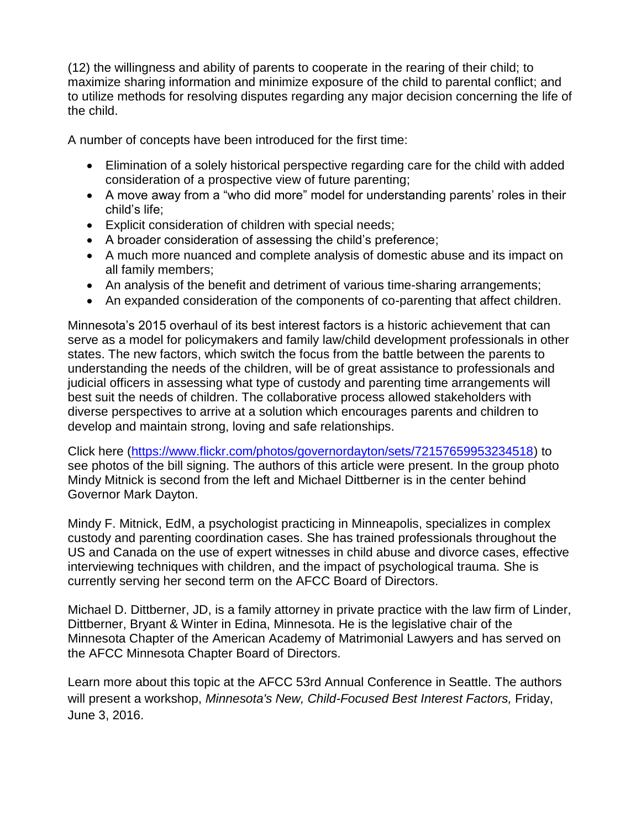(12) the willingness and ability of parents to cooperate in the rearing of their child; to maximize sharing information and minimize exposure of the child to parental conflict; and to utilize methods for resolving disputes regarding any major decision concerning the life of the child.

A number of concepts have been introduced for the first time:

- Elimination of a solely historical perspective regarding care for the child with added consideration of a prospective view of future parenting;
- A move away from a "who did more" model for understanding parents' roles in their child's life;
- Explicit consideration of children with special needs;
- A broader consideration of assessing the child's preference;
- A much more nuanced and complete analysis of domestic abuse and its impact on all family members;
- An analysis of the benefit and detriment of various time-sharing arrangements;
- An expanded consideration of the components of co-parenting that affect children.

Minnesota's 2015 overhaul of its best interest factors is a historic achievement that can serve as a model for policymakers and family law/child development professionals in other states. The new factors, which switch the focus from the battle between the parents to understanding the needs of the children, will be of great assistance to professionals and judicial officers in assessing what type of custody and parenting time arrangements will best suit the needs of children. The collaborative process allowed stakeholders with diverse perspectives to arrive at a solution which encourages parents and children to develop and maintain strong, loving and safe relationships.

Click here [\(https://www.flickr.com/photos/governordayton/sets/72157659953234518\)](https://www.flickr.com/photos/governordayton/sets/72157659953234518) to see photos of the bill signing. The authors of this article were present. In the group photo Mindy Mitnick is second from the left and Michael Dittberner is in the center behind Governor Mark Dayton.

Mindy F. Mitnick, EdM, a psychologist practicing in Minneapolis, specializes in complex custody and parenting coordination cases. She has trained professionals throughout the US and Canada on the use of expert witnesses in child abuse and divorce cases, effective interviewing techniques with children, and the impact of psychological trauma. She is currently serving her second term on the AFCC Board of Directors.

Michael D. Dittberner, JD, is a family attorney in private practice with the law firm of Linder, Dittberner, Bryant & Winter in Edina, Minnesota. He is the legislative chair of the Minnesota Chapter of the American Academy of Matrimonial Lawyers and has served on the AFCC Minnesota Chapter Board of Directors.

Learn more about this topic at the AFCC 53rd Annual Conference in Seattle. The authors will present a workshop, *Minnesota's New, Child-Focused Best Interest Factors,* Friday, June 3, 2016.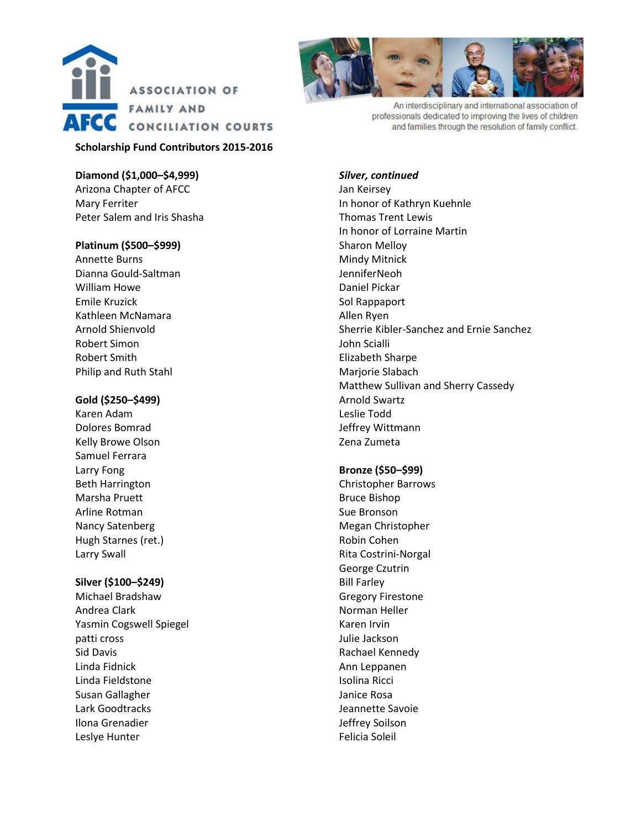

## **Scholarship Fund Contributors 2015-2016**

**Diamond (\$1,000–\$4,999)** Arizona Chapter of AFCC Mary Ferriter Peter Salem and Iris Shasha

### **Platinum (\$500–\$999)**

Annette Burns Dianna Gould-Saltman William Howe Emile Kruzick Kathleen McNamara Arnold Shienvold Robert Simon Robert Smith Philip and Ruth Stahl

### **Gold (\$250–\$499)**

Karen Adam Dolores Bomrad Kelly Browe Olson Samuel Ferrara Larry Fong Beth Harrington Marsha Pruett Arline Rotman Nancy Satenberg Hugh Starnes (ret.) Larry Swall

## **Silver (\$100–\$249)**

Michael Bradshaw Andrea Clark Yasmin Cogswell Spiegel patti cross Sid Davis Linda Fidnick Linda Fieldstone Susan Gallagher Lark Goodtracks Ilona Grenadier Leslye Hunter



An interdisciplinary and international association of professionals dedicated to improving the lives of children and families through the resolution of family conflict.

#### *Silver, continued*

Jan Keirsey In honor of Kathryn Kuehnle Thomas Trent Lewis In honor of Lorraine Martin Sharon Melloy Mindy Mitnick JenniferNeoh Daniel Pickar Sol Rappaport Allen Ryen Sherrie Kibler-Sanchez and Ernie Sanchez John Scialli Elizabeth Sharpe Marjorie Slabach Matthew Sullivan and Sherry Cassedy Arnold Swartz Leslie Todd Jeffrey Wittmann Zena Zumeta

#### **Bronze (\$50–\$99)**

Christopher Barrows Bruce Bishop Sue Bronson Megan Christopher Robin Cohen Rita Costrini-Norgal George Czutrin Bill Farley Gregory Firestone Norman Heller Karen Irvin Julie Jackson Rachael Kennedy Ann Leppanen Isolina Ricci Janice Rosa Jeannette Savoie Jeffrey Soilson Felicia Soleil